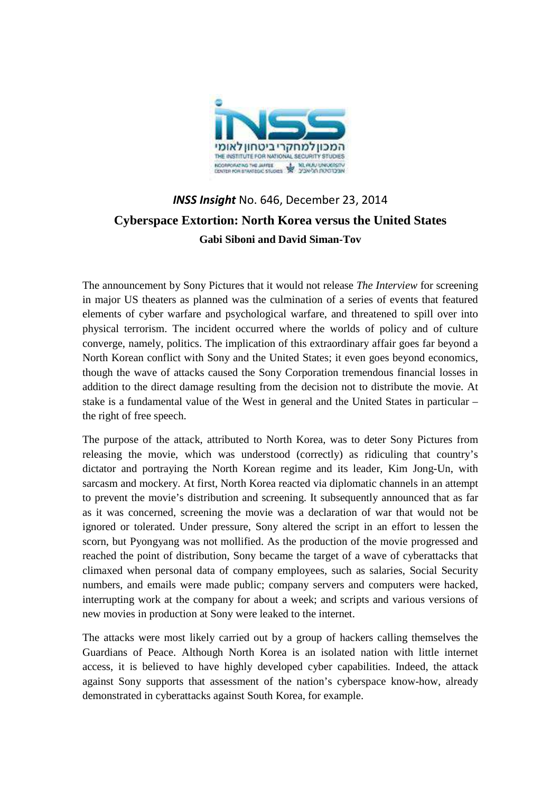

## *INSS Insight* No. 646, December 23, 2014 **Cyberspace Extortion: North Korea versus the United States Gabi Siboni and David Siman-Tov**

The announcement by Sony Pictures that it would not release *The Interview* for screening in major US theaters as planned was the culmination of a series of events that featured elements of cyber warfare and psychological warfare, and threatened to spill over into physical terrorism. The incident occurred where the worlds of policy and of culture converge, namely, politics. The implication of this extraordinary affair goes far beyond a North Korean conflict with Sony and the United States; it even goes beyond economics, though the wave of attacks caused the Sony Corporation tremendous financial losses in addition to the direct damage resulting from the decision not to distribute the movie. At stake is a fundamental value of the West in general and the United States in particular – the right of free speech.

The purpose of the attack, attributed to North Korea, was to deter Sony Pictures from releasing the movie, which was understood (correctly) as ridiculing that country's dictator and portraying the North Korean regime and its leader, Kim Jong-Un, with sarcasm and mockery. At first, North Korea reacted via diplomatic channels in an attempt to prevent the movie's distribution and screening. It subsequently announced that as far as it was concerned, screening the movie was a declaration of war that would not be ignored or tolerated. Under pressure, Sony altered the script in an effort to lessen the scorn, but Pyongyang was not mollified. As the production of the movie progressed and reached the point of distribution, Sony became the target of a wave of cyberattacks that climaxed when personal data of company employees, such as salaries, Social Security numbers, and emails were made public; company servers and computers were hacked, interrupting work at the company for about a week; and scripts and various versions of new movies in production at Sony were leaked to the internet.

The attacks were most likely carried out by a group of hackers calling themselves the Guardians of Peace. Although North Korea is an isolated nation with little internet access, it is believed to have highly developed cyber capabilities. Indeed, the attack against Sony supports that assessment of the nation's cyberspace know-how, already demonstrated in cyberattacks against South Korea, for example.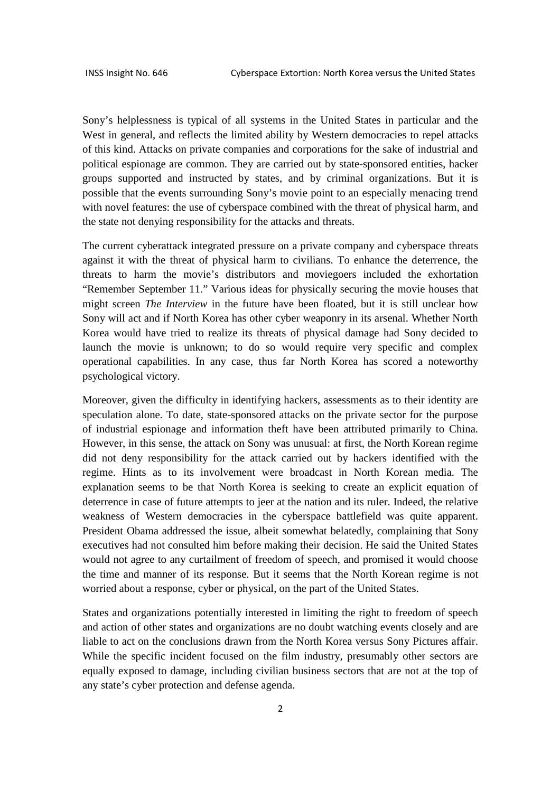Sony's helplessness is typical of all systems in the United States in particular and the West in general, and reflects the limited ability by Western democracies to repel attacks of this kind. Attacks on private companies and corporations for the sake of industrial and political espionage are common. They are carried out by state-sponsored entities, hacker groups supported and instructed by states, and by criminal organizations. But it is possible that the events surrounding Sony's movie point to an especially menacing trend with novel features: the use of cyberspace combined with the threat of physical harm, and the state not denying responsibility for the attacks and threats.

The current cyberattack integrated pressure on a private company and cyberspace threats against it with the threat of physical harm to civilians. To enhance the deterrence, the threats to harm the movie's distributors and moviegoers included the exhortation "Remember September 11." Various ideas for physically securing the movie houses that might screen *The Interview* in the future have been floated, but it is still unclear how Sony will act and if North Korea has other cyber weaponry in its arsenal. Whether North Korea would have tried to realize its threats of physical damage had Sony decided to launch the movie is unknown; to do so would require very specific and complex operational capabilities. In any case, thus far North Korea has scored a noteworthy psychological victory.

Moreover, given the difficulty in identifying hackers, assessments as to their identity are speculation alone. To date, state-sponsored attacks on the private sector for the purpose of industrial espionage and information theft have been attributed primarily to China. However, in this sense, the attack on Sony was unusual: at first, the North Korean regime did not deny responsibility for the attack carried out by hackers identified with the regime. Hints as to its involvement were broadcast in North Korean media. The explanation seems to be that North Korea is seeking to create an explicit equation of deterrence in case of future attempts to jeer at the nation and its ruler. Indeed, the relative weakness of Western democracies in the cyberspace battlefield was quite apparent. President Obama addressed the issue, albeit somewhat belatedly, complaining that Sony executives had not consulted him before making their decision. He said the United States would not agree to any curtailment of freedom of speech, and promised it would choose the time and manner of its response. But it seems that the North Korean regime is not worried about a response, cyber or physical, on the part of the United States.

States and organizations potentially interested in limiting the right to freedom of speech and action of other states and organizations are no doubt watching events closely and are liable to act on the conclusions drawn from the North Korea versus Sony Pictures affair. While the specific incident focused on the film industry, presumably other sectors are equally exposed to damage, including civilian business sectors that are not at the top of any state's cyber protection and defense agenda.